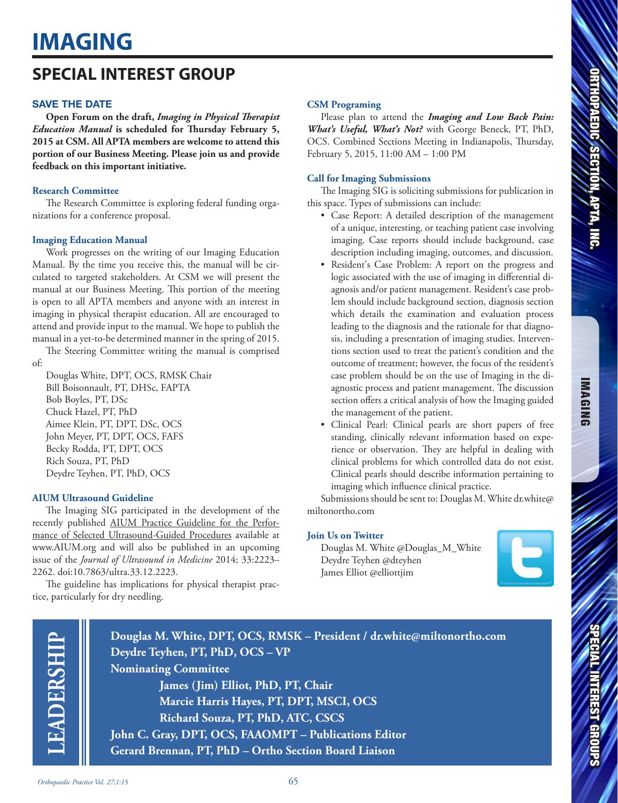# **SPECIAL INTEREST GROUP**

# SAVE THE DATE

**Open Forum on the draft,** *Imaging in Physical Therapist Education Manual* **is scheduled for Thursday February 5, 2015 at CSM. All APTA members are welcome to attend this portion of our Business Meeting. Please join us and provide feedback on this important initiative.** 

#### **Research Committee**

The Research Committee is exploring federal funding organizations for a conference proposal.

#### **Imaging Education Manual**

Work progresses on the writing of our Imaging Education Manual. By the time you receive this, the manual will be circulated to targeted stakeholders. At CSM we will present the manual at our Business Meeting. This portion of the meeting is open to all APTA members and anyone with an interest in imaging in physical therapist education. All are encouraged to attend and provide input to the manual. We hope to publish the manual in a yet-to-be determined manner in the spring of 2015.

The Steering Committee writing the manual is comprised of:

Douglas White, DPT, OCS, RMSK Chair Bill Boisonnault, PT, DHSc, FAPTA Bob Boyles, PT, DSc Chuck Hazel, PT, PhD Aimee Klein, PT, DPT, DSc, OCS John Meyer, PT, DPT, OCS, FAFS Becky Rodda, PT, DPT, OCS Rich Souza, PT, PhD Deydre Teyhen, PT, PhD, OCS

### **AIUM Ultrasound Guideline**

The Imaging SIG participated in the development of the recently published **AIUM Practice Guideline for the Perfor**mance of Selected Ultrasound-Guided Procedures available at www.AIUM.org and will also be published in an upcoming issue of the *Journal of Ultrasound in Medicine* 2014; 33:2223– 2262. doi:10.7863/ultra.33.12.2223.

The guideline has implications for physical therapist practice, particularly for dry needling.

#### **CSM Programing**

Please plan to attend the *Imaging and Low Back Pain: What's Useful, What's Not?* with George Beneck, PT, PhD, OCS. Combined Sections Meeting in Indianapolis, Thursday, February 5, 2015, 11:00 AM – 1:00 PM

## **Call for Imaging Submissions**

The Imaging SIG is soliciting submissions for publication in this space. Types of submissions can include:

- Case Report: A detailed description of the management of a unique, interesting, or teaching patient case involving imaging. Case reports should include background, case description including imaging, outcomes, and discussion.
- Resident's Case Problem: A report on the progress and logic associated with the use of imaging in differential diagnosis and/or patient management. Resident's case problem should include background section, diagnosis section which details the examination and evaluation process leading to the diagnosis and the rationale for that diagnosis, including a presentation of imaging studies. Interventions section used to treat the patient's condition and the outcome of treatment; however, the focus of the resident's case problem should be on the use of Imaging in the diagnostic process and patient management. The discussion section offers a critical analysis of how the Imaging guided the management of the patient.
- Clinical Pearl: Clinical pearls are short papers of free standing, clinically relevant information based on experience or observation. They are helpful in dealing with clinical problems for which controlled data do not exist. Clinical pearls should describe information pertaining to imaging which influence clinical practice.

Submissions should be sent to: Douglas M. White dr.white@ miltonortho.com

### **Join Us on Twitter**

Douglas M. White @Douglas\_M\_White Deydre Teyhen @dteyhen James Elliot @elliottjim





**Douglas M. White, DPT, OCS, RMSK – President / dr.white@miltonortho.com Deydre Teyhen, PT, PhD, OCS – VP Nominating Committee James (Jim) Elliot, PhD, PT, Chair Marcie Harris Hayes, PT, DPT, MSCI, OCS Richard Souza, PT, PhD, ATC, CSCS**

**John C. Gray, DPT, OCS, FAAOMPT – Publications Editor Gerard Brennan, PT, PhD – Ortho Section Board Liaison**

*Orthopaedic Practice Vol. 27;1:15* 65